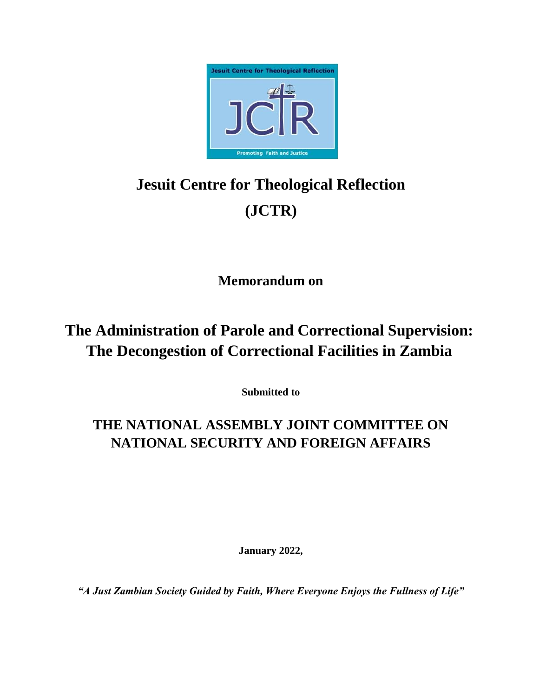

# **Jesuit Centre for Theological Reflection (JCTR)**

**Memorandum on** 

# **The Administration of Parole and Correctional Supervision: The Decongestion of Correctional Facilities in Zambia**

**Submitted to** 

## **THE NATIONAL ASSEMBLY JOINT COMMITTEE ON NATIONAL SECURITY AND FOREIGN AFFAIRS**

**January 2022,** 

*"A Just Zambian Society Guided by Faith, Where Everyone Enjoys the Fullness of Life"*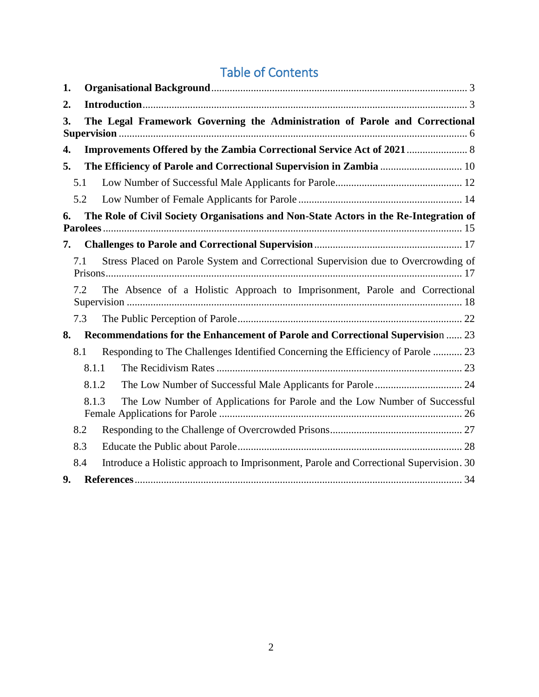## Table of Contents

| 1.                                                                                          |       |                                                                                        |
|---------------------------------------------------------------------------------------------|-------|----------------------------------------------------------------------------------------|
| 2.                                                                                          |       |                                                                                        |
| The Legal Framework Governing the Administration of Parole and Correctional<br>3.           |       |                                                                                        |
| 4.                                                                                          |       |                                                                                        |
| 5.                                                                                          |       |                                                                                        |
| 5.1                                                                                         |       |                                                                                        |
| 5.2                                                                                         |       |                                                                                        |
| The Role of Civil Society Organisations and Non-State Actors in the Re-Integration of<br>6. |       |                                                                                        |
| 7.                                                                                          |       |                                                                                        |
| 7.1                                                                                         |       | Stress Placed on Parole System and Correctional Supervision due to Overcrowding of     |
| 7.2                                                                                         |       | The Absence of a Holistic Approach to Imprisonment, Parole and Correctional            |
| 7.3                                                                                         |       |                                                                                        |
| Recommendations for the Enhancement of Parole and Correctional Supervision  23<br>8.        |       |                                                                                        |
| 8.1                                                                                         |       | Responding to The Challenges Identified Concerning the Efficiency of Parole  23        |
|                                                                                             | 8.1.1 |                                                                                        |
|                                                                                             | 8.1.2 |                                                                                        |
|                                                                                             | 8.1.3 | The Low Number of Applications for Parole and the Low Number of Successful             |
| 8.2                                                                                         |       |                                                                                        |
| 8.3                                                                                         |       |                                                                                        |
| 8.4                                                                                         |       | Introduce a Holistic approach to Imprisonment, Parole and Correctional Supervision. 30 |
| 9.                                                                                          |       |                                                                                        |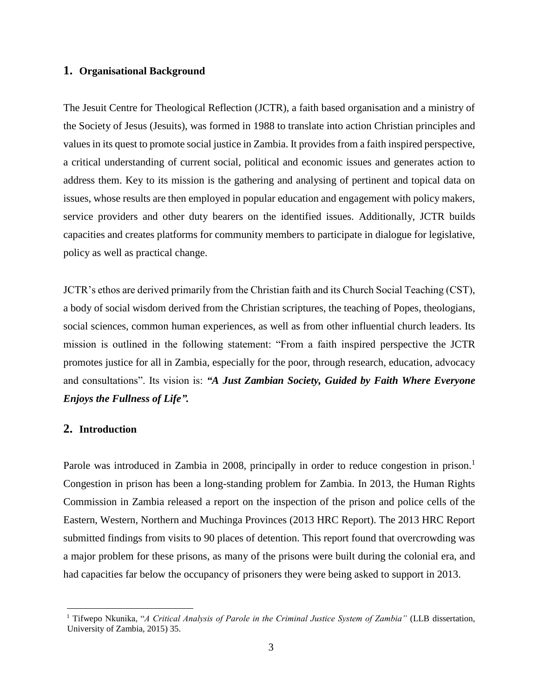### <span id="page-2-0"></span>**1. Organisational Background**

The Jesuit Centre for Theological Reflection (JCTR), a faith based organisation and a ministry of the Society of Jesus (Jesuits), was formed in 1988 to translate into action Christian principles and values in its quest to promote social justice in Zambia. It provides from a faith inspired perspective, a critical understanding of current social, political and economic issues and generates action to address them. Key to its mission is the gathering and analysing of pertinent and topical data on issues, whose results are then employed in popular education and engagement with policy makers, service providers and other duty bearers on the identified issues. Additionally, JCTR builds capacities and creates platforms for community members to participate in dialogue for legislative, policy as well as practical change.

JCTR's ethos are derived primarily from the Christian faith and its Church Social Teaching (CST), a body of social wisdom derived from the Christian scriptures, the teaching of Popes, theologians, social sciences, common human experiences, as well as from other influential church leaders. Its mission is outlined in the following statement: "From a faith inspired perspective the JCTR promotes justice for all in Zambia, especially for the poor, through research, education, advocacy and consultations". Its vision is: *"A Just Zambian Society, Guided by Faith Where Everyone Enjoys the Fullness of Life".*

#### <span id="page-2-1"></span>**2. Introduction**

 $\overline{a}$ 

Parole was introduced in Zambia in 2008, principally in order to reduce congestion in prison.<sup>1</sup> Congestion in prison has been a long-standing problem for Zambia. In 2013, the Human Rights Commission in Zambia released a report on the inspection of the prison and police cells of the Eastern, Western, Northern and Muchinga Provinces (2013 HRC Report). The 2013 HRC Report submitted findings from visits to 90 places of detention. This report found that overcrowding was a major problem for these prisons, as many of the prisons were built during the colonial era, and had capacities far below the occupancy of prisoners they were being asked to support in 2013.

<sup>1</sup> Tifwepo Nkunika, "*A Critical Analysis of Parole in the Criminal Justice System of Zambia"* (LLB dissertation, University of Zambia, 2015) 35.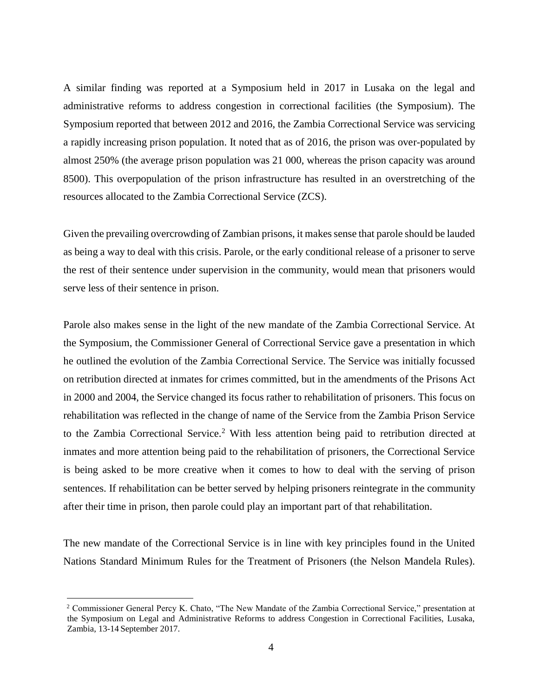A similar finding was reported at a Symposium held in 2017 in Lusaka on the legal and administrative reforms to address congestion in correctional facilities (the Symposium). The Symposium reported that between 2012 and 2016, the Zambia Correctional Service was servicing a rapidly increasing prison population. It noted that as of 2016, the prison was over-populated by almost 250% (the average prison population was 21 000, whereas the prison capacity was around 8500). This overpopulation of the prison infrastructure has resulted in an overstretching of the resources allocated to the Zambia Correctional Service (ZCS).

Given the prevailing overcrowding of Zambian prisons, it makes sense that parole should be lauded as being a way to deal with this crisis. Parole, or the early conditional release of a prisoner to serve the rest of their sentence under supervision in the community, would mean that prisoners would serve less of their sentence in prison.

Parole also makes sense in the light of the new mandate of the Zambia Correctional Service. At the Symposium, the Commissioner General of Correctional Service gave a presentation in which he outlined the evolution of the Zambia Correctional Service. The Service was initially focussed on retribution directed at inmates for crimes committed, but in the amendments of the Prisons Act in 2000 and 2004, the Service changed its focus rather to rehabilitation of prisoners. This focus on rehabilitation was reflected in the change of name of the Service from the Zambia Prison Service to the Zambia Correctional Service.<sup>2</sup> With less attention being paid to retribution directed at inmates and more attention being paid to the rehabilitation of prisoners, the Correctional Service is being asked to be more creative when it comes to how to deal with the serving of prison sentences. If rehabilitation can be better served by helping prisoners reintegrate in the community after their time in prison, then parole could play an important part of that rehabilitation.

The new mandate of the Correctional Service is in line with key principles found in the United Nations Standard Minimum Rules for the Treatment of Prisoners (the Nelson Mandela Rules).

<sup>2</sup> Commissioner General Percy K. Chato, "The New Mandate of the Zambia Correctional Service," presentation at the Symposium on Legal and Administrative Reforms to address Congestion in Correctional Facilities, Lusaka, Zambia, 13-14 September 2017.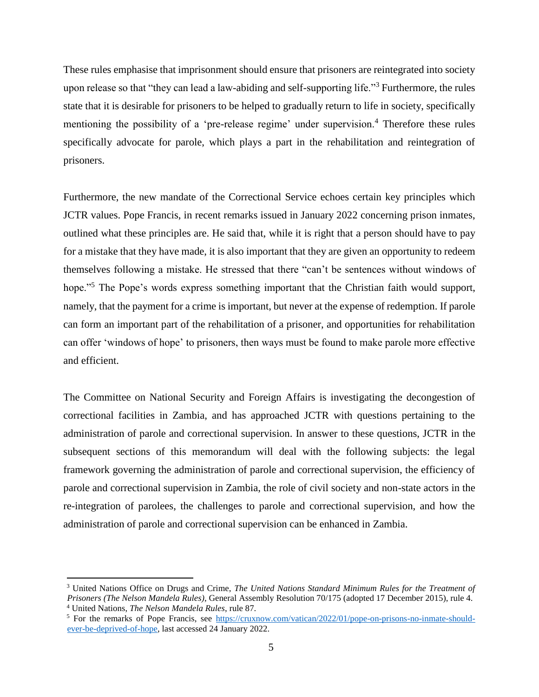These rules emphasise that imprisonment should ensure that prisoners are reintegrated into society upon release so that "they can lead a law-abiding and self-supporting life."<sup>3</sup> Furthermore, the rules state that it is desirable for prisoners to be helped to gradually return to life in society, specifically mentioning the possibility of a 'pre-release regime' under supervision.<sup>4</sup> Therefore these rules specifically advocate for parole, which plays a part in the rehabilitation and reintegration of prisoners.

Furthermore, the new mandate of the Correctional Service echoes certain key principles which JCTR values. Pope Francis, in recent remarks issued in January 2022 concerning prison inmates, outlined what these principles are. He said that, while it is right that a person should have to pay for a mistake that they have made, it is also important that they are given an opportunity to redeem themselves following a mistake. He stressed that there "can't be sentences without windows of hope."<sup>5</sup> The Pope's words express something important that the Christian faith would support, namely, that the payment for a crime is important, but never at the expense of redemption. If parole can form an important part of the rehabilitation of a prisoner, and opportunities for rehabilitation can offer 'windows of hope' to prisoners, then ways must be found to make parole more effective and efficient.

The Committee on National Security and Foreign Affairs is investigating the decongestion of correctional facilities in Zambia, and has approached JCTR with questions pertaining to the administration of parole and correctional supervision. In answer to these questions, JCTR in the subsequent sections of this memorandum will deal with the following subjects: the legal framework governing the administration of parole and correctional supervision, the efficiency of parole and correctional supervision in Zambia, the role of civil society and non-state actors in the re-integration of parolees, the challenges to parole and correctional supervision, and how the administration of parole and correctional supervision can be enhanced in Zambia.

<sup>3</sup> United Nations Office on Drugs and Crime, *The United Nations Standard Minimum Rules for the Treatment of Prisoners (The Nelson Mandela Rules)*, General Assembly Resolution 70/175 (adopted 17 December 2015), rule 4. <sup>4</sup> United Nations, *The Nelson Mandela Rules*, rule 87.

<sup>5</sup> For the remarks of Pope Francis, see [https://cruxnow.com/vatican/2022/01/pope-on-prisons-no-inmate-should](https://cruxnow.com/vatican/2022/01/pope-on-prisons-no-inmate-should-ever-be-deprived-of-hope)[ever-be-deprived-of-hope,](https://cruxnow.com/vatican/2022/01/pope-on-prisons-no-inmate-should-ever-be-deprived-of-hope) last accessed 24 January 2022.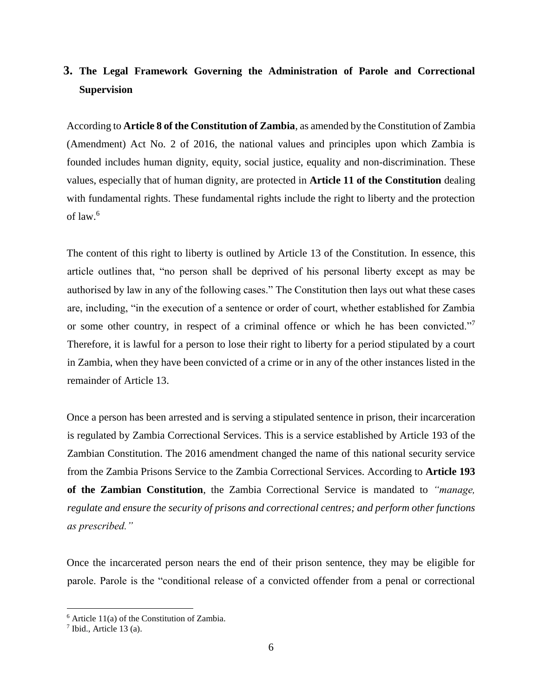### <span id="page-5-0"></span>**3. The Legal Framework Governing the Administration of Parole and Correctional Supervision**

According to **Article 8 of the Constitution of Zambia**, as amended by the Constitution of Zambia (Amendment) Act No. 2 of 2016, the national values and principles upon which Zambia is founded includes human dignity, equity, social justice, equality and non-discrimination. These values, especially that of human dignity, are protected in **Article 11 of the Constitution** dealing with fundamental rights. These fundamental rights include the right to liberty and the protection of law. $6$ 

The content of this right to liberty is outlined by Article 13 of the Constitution. In essence, this article outlines that, "no person shall be deprived of his personal liberty except as may be authorised by law in any of the following cases." The Constitution then lays out what these cases are, including, "in the execution of a sentence or order of court, whether established for Zambia or some other country, in respect of a criminal offence or which he has been convicted."<sup>7</sup> Therefore, it is lawful for a person to lose their right to liberty for a period stipulated by a court in Zambia, when they have been convicted of a crime or in any of the other instances listed in the remainder of Article 13.

Once a person has been arrested and is serving a stipulated sentence in prison, their incarceration is regulated by Zambia Correctional Services. This is a service established by Article 193 of the Zambian Constitution. The 2016 amendment changed the name of this national security service from the Zambia Prisons Service to the Zambia Correctional Services. According to **Article 193 of the Zambian Constitution**, the Zambia Correctional Service is mandated to *"manage, regulate and ensure the security of prisons and correctional centres; and perform other functions as prescribed."* 

Once the incarcerated person nears the end of their prison sentence, they may be eligible for parole. Parole is the "conditional release of a convicted offender from a penal or correctional

 $6$  Article 11(a) of the Constitution of Zambia.

 $<sup>7</sup>$  Ibid., Article 13 (a).</sup>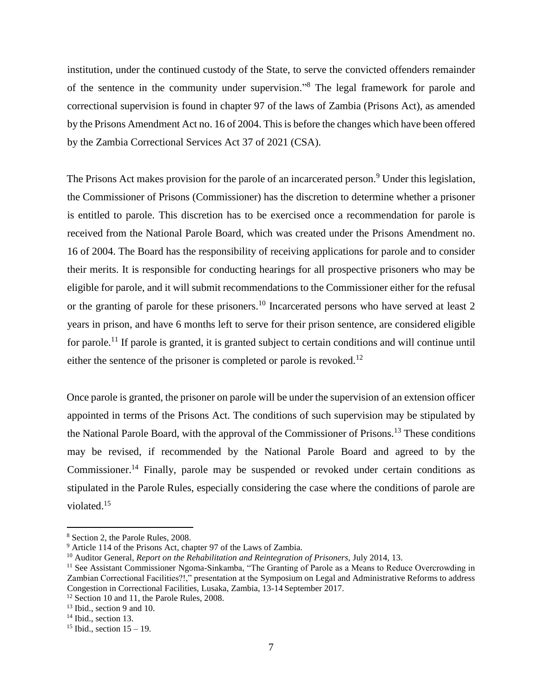institution, under the continued custody of the State, to serve the convicted offenders remainder of the sentence in the community under supervision."<sup>8</sup> The legal framework for parole and correctional supervision is found in chapter 97 of the laws of Zambia (Prisons Act), as amended by the Prisons Amendment Act no. 16 of 2004. This is before the changes which have been offered by the Zambia Correctional Services Act 37 of 2021 (CSA).

The Prisons Act makes provision for the parole of an incarcerated person.<sup>9</sup> Under this legislation, the Commissioner of Prisons (Commissioner) has the discretion to determine whether a prisoner is entitled to parole. This discretion has to be exercised once a recommendation for parole is received from the National Parole Board, which was created under the Prisons Amendment no. 16 of 2004. The Board has the responsibility of receiving applications for parole and to consider their merits. It is responsible for conducting hearings for all prospective prisoners who may be eligible for parole, and it will submit recommendations to the Commissioner either for the refusal or the granting of parole for these prisoners.<sup>10</sup> Incarcerated persons who have served at least 2 years in prison, and have 6 months left to serve for their prison sentence, are considered eligible for parole.<sup>11</sup> If parole is granted, it is granted subject to certain conditions and will continue until either the sentence of the prisoner is completed or parole is revoked.<sup>12</sup>

Once parole is granted, the prisoner on parole will be under the supervision of an extension officer appointed in terms of the Prisons Act. The conditions of such supervision may be stipulated by the National Parole Board, with the approval of the Commissioner of Prisons.<sup>13</sup> These conditions may be revised, if recommended by the National Parole Board and agreed to by the Commissioner.<sup>14</sup> Finally, parole may be suspended or revoked under certain conditions as stipulated in the Parole Rules, especially considering the case where the conditions of parole are violated.<sup>15</sup>

<sup>8</sup> Section 2, the Parole Rules, 2008.

<sup>9</sup> Article 114 of the Prisons Act, chapter 97 of the Laws of Zambia.

<sup>10</sup> Auditor General, *Report on the Rehabilitation and Reintegration of Prisoners,* July 2014, 13.

<sup>&</sup>lt;sup>11</sup> See Assistant Commissioner Ngoma-Sinkamba, "The Granting of Parole as a Means to Reduce Overcrowding in Zambian Correctional Facilities?!," presentation at the Symposium on Legal and Administrative Reforms to address Congestion in Correctional Facilities, Lusaka, Zambia, 13-14 September 2017.

<sup>&</sup>lt;sup>12</sup> Section 10 and 11, the Parole Rules, 2008.

<sup>&</sup>lt;sup>13</sup> Ibid., section 9 and 10.

<sup>&</sup>lt;sup>14</sup> Ibid., section 13.

<sup>&</sup>lt;sup>15</sup> Ibid., section  $15 - 19$ .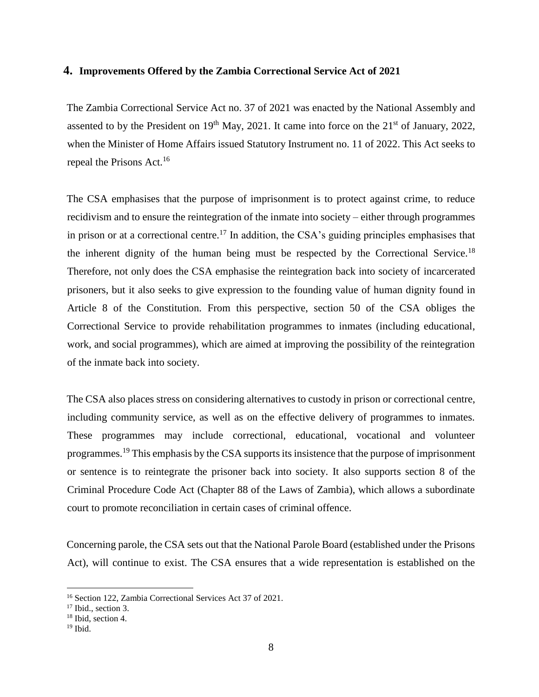#### <span id="page-7-0"></span>**4. Improvements Offered by the Zambia Correctional Service Act of 2021**

The Zambia Correctional Service Act no. 37 of 2021 was enacted by the National Assembly and assented to by the President on  $19<sup>th</sup>$  May, 2021. It came into force on the  $21<sup>st</sup>$  of January, 2022, when the Minister of Home Affairs issued Statutory Instrument no. 11 of 2022. This Act seeks to repeal the Prisons Act.<sup>16</sup>

The CSA emphasises that the purpose of imprisonment is to protect against crime, to reduce recidivism and to ensure the reintegration of the inmate into society – either through programmes in prison or at a correctional centre.<sup>17</sup> In addition, the CSA's guiding principles emphasises that the inherent dignity of the human being must be respected by the Correctional Service.<sup>18</sup> Therefore, not only does the CSA emphasise the reintegration back into society of incarcerated prisoners, but it also seeks to give expression to the founding value of human dignity found in Article 8 of the Constitution. From this perspective, section 50 of the CSA obliges the Correctional Service to provide rehabilitation programmes to inmates (including educational, work, and social programmes), which are aimed at improving the possibility of the reintegration of the inmate back into society.

The CSA also places stress on considering alternatives to custody in prison or correctional centre, including community service, as well as on the effective delivery of programmes to inmates. These programmes may include correctional, educational, vocational and volunteer programmes.<sup>19</sup> This emphasis by the CSA supports its insistence that the purpose of imprisonment or sentence is to reintegrate the prisoner back into society. It also supports section 8 of the Criminal Procedure Code Act (Chapter 88 of the Laws of Zambia), which allows a subordinate court to promote reconciliation in certain cases of criminal offence.

Concerning parole, the CSA sets out that the National Parole Board (established under the Prisons Act), will continue to exist. The CSA ensures that a wide representation is established on the

<sup>16</sup> Section 122, Zambia Correctional Services Act 37 of 2021.

<sup>&</sup>lt;sup>17</sup> Ibid., section 3.

<sup>18</sup> Ibid, section 4.

 $19$  Ibid.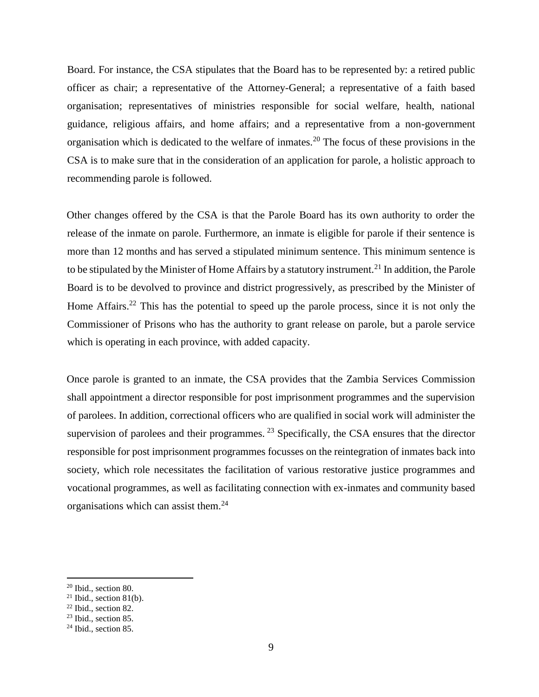Board. For instance, the CSA stipulates that the Board has to be represented by: a retired public officer as chair; a representative of the Attorney-General; a representative of a faith based organisation; representatives of ministries responsible for social welfare, health, national guidance, religious affairs, and home affairs; and a representative from a non-government organisation which is dedicated to the welfare of inmates.<sup>20</sup> The focus of these provisions in the CSA is to make sure that in the consideration of an application for parole, a holistic approach to recommending parole is followed.

Other changes offered by the CSA is that the Parole Board has its own authority to order the release of the inmate on parole. Furthermore, an inmate is eligible for parole if their sentence is more than 12 months and has served a stipulated minimum sentence. This minimum sentence is to be stipulated by the Minister of Home Affairs by a statutory instrument.<sup>21</sup> In addition, the Parole Board is to be devolved to province and district progressively, as prescribed by the Minister of Home Affairs.<sup>22</sup> This has the potential to speed up the parole process, since it is not only the Commissioner of Prisons who has the authority to grant release on parole, but a parole service which is operating in each province, with added capacity.

Once parole is granted to an inmate, the CSA provides that the Zambia Services Commission shall appointment a director responsible for post imprisonment programmes and the supervision of parolees. In addition, correctional officers who are qualified in social work will administer the supervision of parolees and their programmes.<sup>23</sup> Specifically, the CSA ensures that the director responsible for post imprisonment programmes focusses on the reintegration of inmates back into society, which role necessitates the facilitation of various restorative justice programmes and vocational programmes, as well as facilitating connection with ex-inmates and community based organisations which can assist them.<sup>24</sup>

<sup>20</sup> Ibid., section 80.

 $21$  Ibid., section 81(b).

 $22$  Ibid., section 82.

 $23$  Ibid., section 85.

<sup>&</sup>lt;sup>24</sup> Ibid., section 85.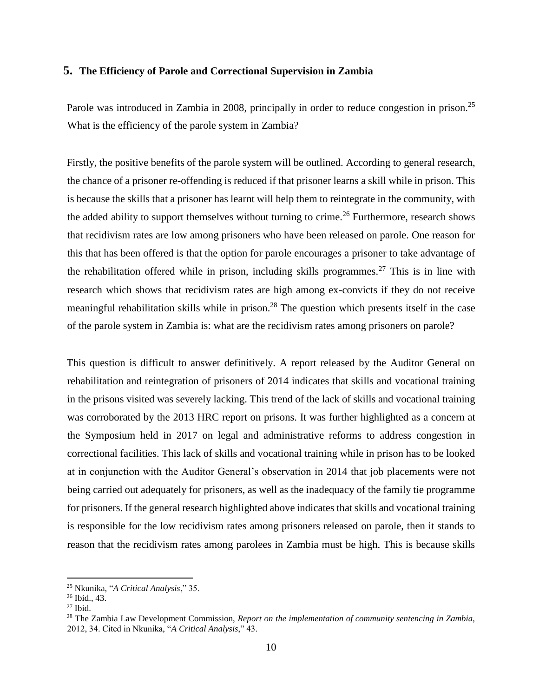#### <span id="page-9-0"></span>**5. The Efficiency of Parole and Correctional Supervision in Zambia**

Parole was introduced in Zambia in 2008, principally in order to reduce congestion in prison.<sup>25</sup> What is the efficiency of the parole system in Zambia?

Firstly, the positive benefits of the parole system will be outlined. According to general research, the chance of a prisoner re-offending is reduced if that prisoner learns a skill while in prison. This is because the skills that a prisoner has learnt will help them to reintegrate in the community, with the added ability to support themselves without turning to crime.<sup>26</sup> Furthermore, research shows that recidivism rates are low among prisoners who have been released on parole. One reason for this that has been offered is that the option for parole encourages a prisoner to take advantage of the rehabilitation offered while in prison, including skills programmes.<sup>27</sup> This is in line with research which shows that recidivism rates are high among ex-convicts if they do not receive meaningful rehabilitation skills while in prison.<sup>28</sup> The question which presents itself in the case of the parole system in Zambia is: what are the recidivism rates among prisoners on parole?

This question is difficult to answer definitively. A report released by the Auditor General on rehabilitation and reintegration of prisoners of 2014 indicates that skills and vocational training in the prisons visited was severely lacking. This trend of the lack of skills and vocational training was corroborated by the 2013 HRC report on prisons. It was further highlighted as a concern at the Symposium held in 2017 on legal and administrative reforms to address congestion in correctional facilities. This lack of skills and vocational training while in prison has to be looked at in conjunction with the Auditor General's observation in 2014 that job placements were not being carried out adequately for prisoners, as well as the inadequacy of the family tie programme for prisoners. If the general research highlighted above indicates that skills and vocational training is responsible for the low recidivism rates among prisoners released on parole, then it stands to reason that the recidivism rates among parolees in Zambia must be high. This is because skills

<sup>25</sup> Nkunika, "*A Critical Analysis*," 35.

<sup>26</sup> Ibid., 43.

 $27$  Ibid.

<sup>28</sup> The Zambia Law Development Commission, *Report on the implementation of community sentencing in Zambia,*  2012, 34. Cited in Nkunika, "*A Critical Analysis*," 43.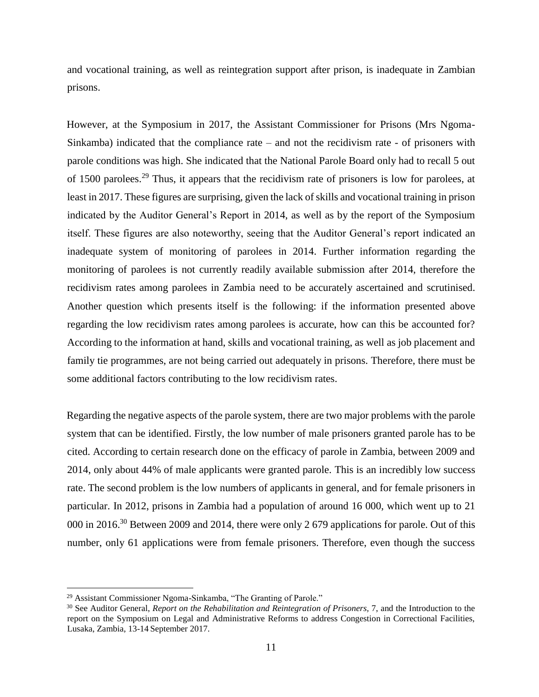and vocational training, as well as reintegration support after prison, is inadequate in Zambian prisons.

However, at the Symposium in 2017, the Assistant Commissioner for Prisons (Mrs Ngoma-Sinkamba) indicated that the compliance rate – and not the recidivism rate - of prisoners with parole conditions was high. She indicated that the National Parole Board only had to recall 5 out of 1500 parolees.<sup>29</sup> Thus, it appears that the recidivism rate of prisoners is low for parolees, at least in 2017. These figures are surprising, given the lack of skills and vocational training in prison indicated by the Auditor General's Report in 2014, as well as by the report of the Symposium itself. These figures are also noteworthy, seeing that the Auditor General's report indicated an inadequate system of monitoring of parolees in 2014. Further information regarding the monitoring of parolees is not currently readily available submission after 2014, therefore the recidivism rates among parolees in Zambia need to be accurately ascertained and scrutinised. Another question which presents itself is the following: if the information presented above regarding the low recidivism rates among parolees is accurate, how can this be accounted for? According to the information at hand, skills and vocational training, as well as job placement and family tie programmes, are not being carried out adequately in prisons. Therefore, there must be some additional factors contributing to the low recidivism rates.

Regarding the negative aspects of the parole system, there are two major problems with the parole system that can be identified. Firstly, the low number of male prisoners granted parole has to be cited. According to certain research done on the efficacy of parole in Zambia, between 2009 and 2014, only about 44% of male applicants were granted parole. This is an incredibly low success rate. The second problem is the low numbers of applicants in general, and for female prisoners in particular. In 2012, prisons in Zambia had a population of around 16 000, which went up to 21 000 in 2016.<sup>30</sup> Between 2009 and 2014, there were only 2 679 applications for parole. Out of this number, only 61 applications were from female prisoners. Therefore, even though the success

<sup>29</sup> Assistant Commissioner Ngoma-Sinkamba, "The Granting of Parole."

<sup>&</sup>lt;sup>30</sup> See Auditor General, *Report on the Rehabilitation and Reintegration of Prisoners*, 7, and the Introduction to the report on the Symposium on Legal and Administrative Reforms to address Congestion in Correctional Facilities, Lusaka, Zambia, 13-14 September 2017.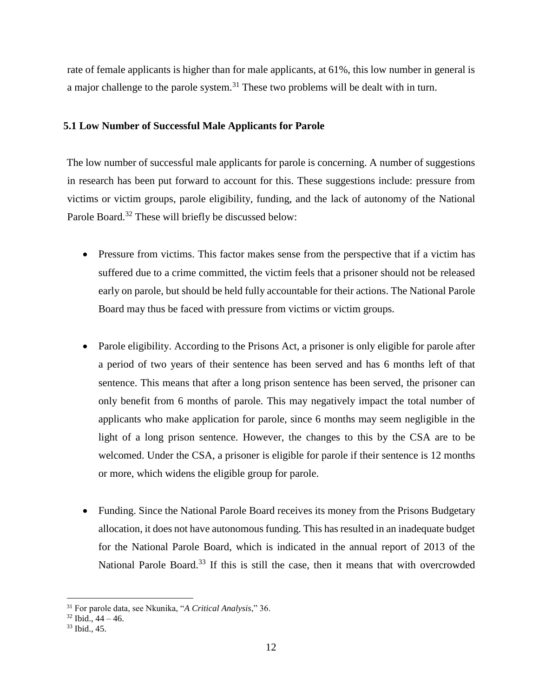rate of female applicants is higher than for male applicants, at 61%, this low number in general is a major challenge to the parole system.<sup>31</sup> These two problems will be dealt with in turn.

### <span id="page-11-0"></span>**5.1 Low Number of Successful Male Applicants for Parole**

The low number of successful male applicants for parole is concerning. A number of suggestions in research has been put forward to account for this. These suggestions include: pressure from victims or victim groups, parole eligibility, funding, and the lack of autonomy of the National Parole Board.<sup>32</sup> These will briefly be discussed below:

- Pressure from victims. This factor makes sense from the perspective that if a victim has suffered due to a crime committed, the victim feels that a prisoner should not be released early on parole, but should be held fully accountable for their actions. The National Parole Board may thus be faced with pressure from victims or victim groups.
- Parole eligibility. According to the Prisons Act, a prisoner is only eligible for parole after a period of two years of their sentence has been served and has 6 months left of that sentence. This means that after a long prison sentence has been served, the prisoner can only benefit from 6 months of parole. This may negatively impact the total number of applicants who make application for parole, since 6 months may seem negligible in the light of a long prison sentence. However, the changes to this by the CSA are to be welcomed. Under the CSA, a prisoner is eligible for parole if their sentence is 12 months or more, which widens the eligible group for parole.
- Funding. Since the National Parole Board receives its money from the Prisons Budgetary allocation, it does not have autonomous funding. This has resulted in an inadequate budget for the National Parole Board, which is indicated in the annual report of 2013 of the National Parole Board.<sup>33</sup> If this is still the case, then it means that with overcrowded

<sup>31</sup> For parole data, see Nkunika, "*A Critical Analysis*," 36.

 $32$  Ibid.,  $44 - 46$ .

<sup>33</sup> Ibid., 45.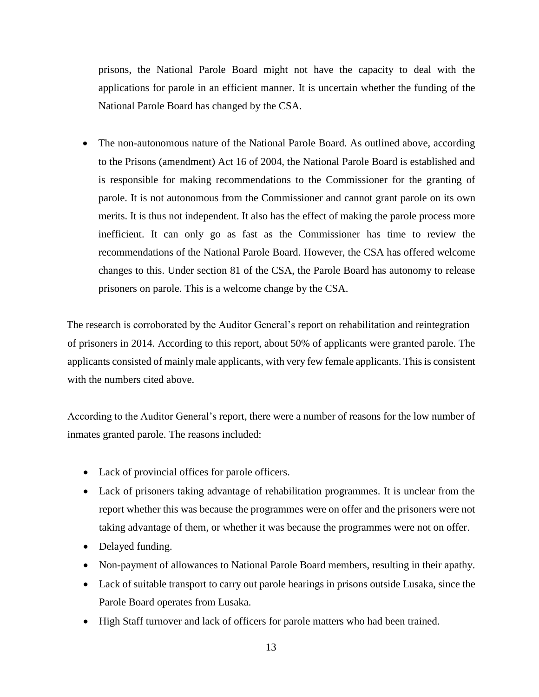prisons, the National Parole Board might not have the capacity to deal with the applications for parole in an efficient manner. It is uncertain whether the funding of the National Parole Board has changed by the CSA.

• The non-autonomous nature of the National Parole Board. As outlined above, according to the Prisons (amendment) Act 16 of 2004, the National Parole Board is established and is responsible for making recommendations to the Commissioner for the granting of parole. It is not autonomous from the Commissioner and cannot grant parole on its own merits. It is thus not independent. It also has the effect of making the parole process more inefficient. It can only go as fast as the Commissioner has time to review the recommendations of the National Parole Board. However, the CSA has offered welcome changes to this. Under section 81 of the CSA, the Parole Board has autonomy to release prisoners on parole. This is a welcome change by the CSA.

The research is corroborated by the Auditor General's report on rehabilitation and reintegration of prisoners in 2014. According to this report, about 50% of applicants were granted parole. The applicants consisted of mainly male applicants, with very few female applicants. This is consistent with the numbers cited above.

According to the Auditor General's report, there were a number of reasons for the low number of inmates granted parole. The reasons included:

- Lack of provincial offices for parole officers.
- Lack of prisoners taking advantage of rehabilitation programmes. It is unclear from the report whether this was because the programmes were on offer and the prisoners were not taking advantage of them, or whether it was because the programmes were not on offer.
- Delayed funding.
- Non-payment of allowances to National Parole Board members, resulting in their apathy.
- Lack of suitable transport to carry out parole hearings in prisons outside Lusaka, since the Parole Board operates from Lusaka.
- High Staff turnover and lack of officers for parole matters who had been trained.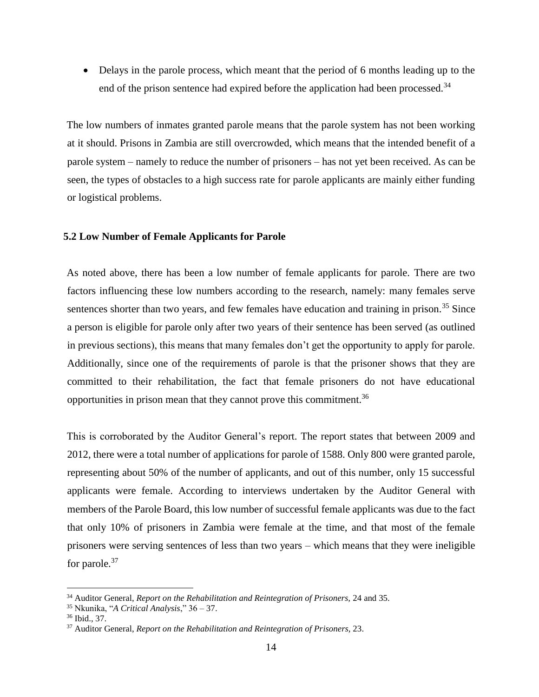• Delays in the parole process, which meant that the period of 6 months leading up to the end of the prison sentence had expired before the application had been processed.<sup>34</sup>

The low numbers of inmates granted parole means that the parole system has not been working at it should. Prisons in Zambia are still overcrowded, which means that the intended benefit of a parole system – namely to reduce the number of prisoners – has not yet been received. As can be seen, the types of obstacles to a high success rate for parole applicants are mainly either funding or logistical problems.

### <span id="page-13-0"></span>**5.2 Low Number of Female Applicants for Parole**

As noted above, there has been a low number of female applicants for parole. There are two factors influencing these low numbers according to the research, namely: many females serve sentences shorter than two years, and few females have education and training in prison.<sup>35</sup> Since a person is eligible for parole only after two years of their sentence has been served (as outlined in previous sections), this means that many females don't get the opportunity to apply for parole. Additionally, since one of the requirements of parole is that the prisoner shows that they are committed to their rehabilitation, the fact that female prisoners do not have educational opportunities in prison mean that they cannot prove this commitment.<sup>36</sup>

This is corroborated by the Auditor General's report. The report states that between 2009 and 2012, there were a total number of applications for parole of 1588. Only 800 were granted parole, representing about 50% of the number of applicants, and out of this number, only 15 successful applicants were female. According to interviews undertaken by the Auditor General with members of the Parole Board, this low number of successful female applicants was due to the fact that only 10% of prisoners in Zambia were female at the time, and that most of the female prisoners were serving sentences of less than two years – which means that they were ineligible for parole.<sup>37</sup>

<sup>&</sup>lt;sup>34</sup> Auditor General, *Report on the Rehabilitation and Reintegration of Prisoners, 24 and 35.* 

<sup>35</sup> Nkunika, "*A Critical Analysis*," 36 – 37.

<sup>36</sup> Ibid., 37.

<sup>37</sup> Auditor General, *Report on the Rehabilitation and Reintegration of Prisoners,* 23.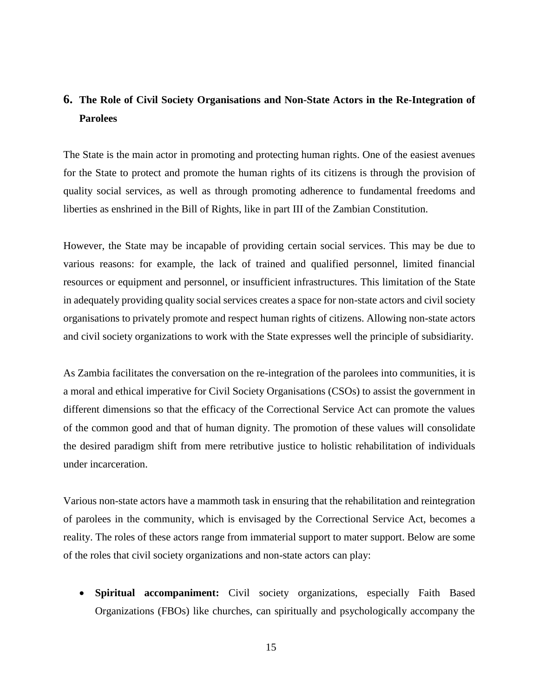### <span id="page-14-0"></span>**6. The Role of Civil Society Organisations and Non-State Actors in the Re-Integration of Parolees**

The State is the main actor in promoting and protecting human rights. One of the easiest avenues for the State to protect and promote the human rights of its citizens is through the provision of quality social services, as well as through promoting adherence to fundamental freedoms and liberties as enshrined in the Bill of Rights, like in part III of the Zambian Constitution.

However, the State may be incapable of providing certain social services. This may be due to various reasons: for example, the lack of trained and qualified personnel, limited financial resources or equipment and personnel, or insufficient infrastructures. This limitation of the State in adequately providing quality social services creates a space for non-state actors and civil society organisations to privately promote and respect human rights of citizens. Allowing non-state actors and civil society organizations to work with the State expresses well the principle of subsidiarity.

As Zambia facilitates the conversation on the re-integration of the parolees into communities, it is a moral and ethical imperative for Civil Society Organisations (CSOs) to assist the government in different dimensions so that the efficacy of the Correctional Service Act can promote the values of the common good and that of human dignity. The promotion of these values will consolidate the desired paradigm shift from mere retributive justice to holistic rehabilitation of individuals under incarceration.

Various non-state actors have a mammoth task in ensuring that the rehabilitation and reintegration of parolees in the community, which is envisaged by the Correctional Service Act, becomes a reality. The roles of these actors range from immaterial support to mater support. Below are some of the roles that civil society organizations and non-state actors can play:

 **Spiritual accompaniment:** Civil society organizations, especially Faith Based Organizations (FBOs) like churches, can spiritually and psychologically accompany the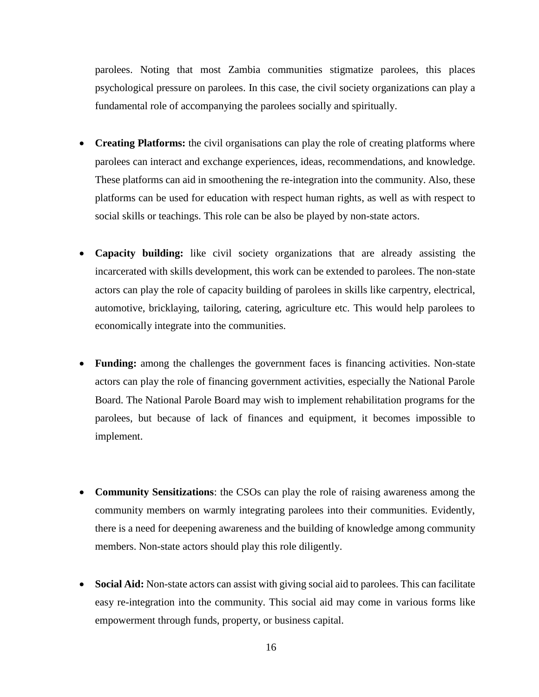parolees. Noting that most Zambia communities stigmatize parolees, this places psychological pressure on parolees. In this case, the civil society organizations can play a fundamental role of accompanying the parolees socially and spiritually.

- **Creating Platforms:** the civil organisations can play the role of creating platforms where parolees can interact and exchange experiences, ideas, recommendations, and knowledge. These platforms can aid in smoothening the re-integration into the community. Also, these platforms can be used for education with respect human rights, as well as with respect to social skills or teachings. This role can be also be played by non-state actors.
- **Capacity building:** like civil society organizations that are already assisting the incarcerated with skills development, this work can be extended to parolees. The non-state actors can play the role of capacity building of parolees in skills like carpentry, electrical, automotive, bricklaying, tailoring, catering, agriculture etc. This would help parolees to economically integrate into the communities.
- **Funding:** among the challenges the government faces is financing activities. Non-state actors can play the role of financing government activities, especially the National Parole Board. The National Parole Board may wish to implement rehabilitation programs for the parolees, but because of lack of finances and equipment, it becomes impossible to implement.
- **Community Sensitizations**: the CSOs can play the role of raising awareness among the community members on warmly integrating parolees into their communities. Evidently, there is a need for deepening awareness and the building of knowledge among community members. Non-state actors should play this role diligently.
- **Social Aid:** Non-state actors can assist with giving social aid to parolees. This can facilitate easy re-integration into the community. This social aid may come in various forms like empowerment through funds, property, or business capital.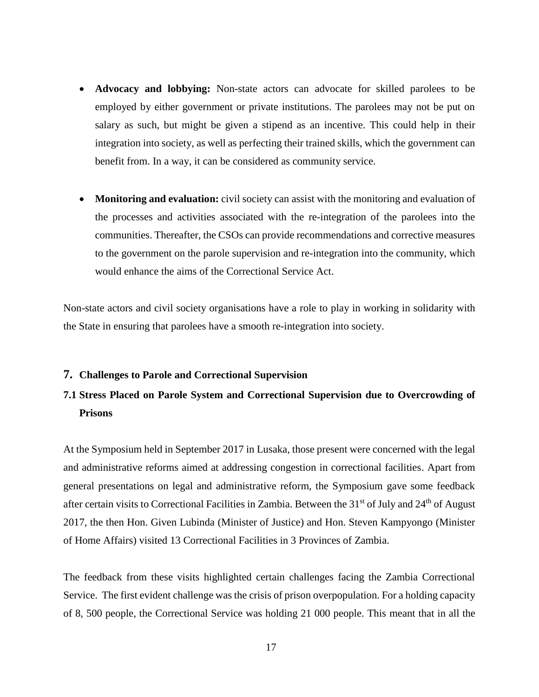- **Advocacy and lobbying:** Non-state actors can advocate for skilled parolees to be employed by either government or private institutions. The parolees may not be put on salary as such, but might be given a stipend as an incentive. This could help in their integration into society, as well as perfecting their trained skills, which the government can benefit from. In a way, it can be considered as community service.
- **Monitoring and evaluation:** civil society can assist with the monitoring and evaluation of the processes and activities associated with the re-integration of the parolees into the communities. Thereafter, the CSOs can provide recommendations and corrective measures to the government on the parole supervision and re-integration into the community, which would enhance the aims of the Correctional Service Act.

Non-state actors and civil society organisations have a role to play in working in solidarity with the State in ensuring that parolees have a smooth re-integration into society.

#### <span id="page-16-0"></span>**7. Challenges to Parole and Correctional Supervision**

### <span id="page-16-1"></span>**7.1 Stress Placed on Parole System and Correctional Supervision due to Overcrowding of Prisons**

At the Symposium held in September 2017 in Lusaka, those present were concerned with the legal and administrative reforms aimed at addressing congestion in correctional facilities. Apart from general presentations on legal and administrative reform, the Symposium gave some feedback after certain visits to Correctional Facilities in Zambia. Between the 31<sup>st</sup> of July and 24<sup>th</sup> of August 2017, the then Hon. Given Lubinda (Minister of Justice) and Hon. Steven Kampyongo (Minister of Home Affairs) visited 13 Correctional Facilities in 3 Provinces of Zambia.

The feedback from these visits highlighted certain challenges facing the Zambia Correctional Service. The first evident challenge was the crisis of prison overpopulation. For a holding capacity of 8, 500 people, the Correctional Service was holding 21 000 people. This meant that in all the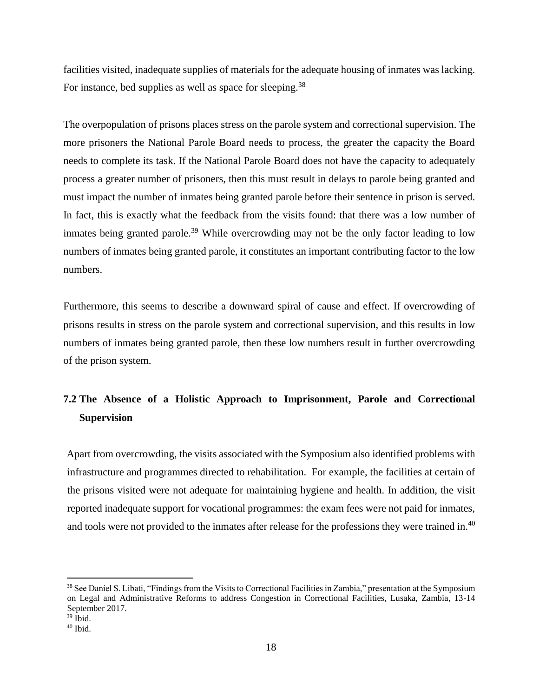facilities visited, inadequate supplies of materials for the adequate housing of inmates was lacking. For instance, bed supplies as well as space for sleeping.<sup>38</sup>

The overpopulation of prisons places stress on the parole system and correctional supervision. The more prisoners the National Parole Board needs to process, the greater the capacity the Board needs to complete its task. If the National Parole Board does not have the capacity to adequately process a greater number of prisoners, then this must result in delays to parole being granted and must impact the number of inmates being granted parole before their sentence in prison is served. In fact, this is exactly what the feedback from the visits found: that there was a low number of inmates being granted parole.<sup>39</sup> While overcrowding may not be the only factor leading to low numbers of inmates being granted parole, it constitutes an important contributing factor to the low numbers.

Furthermore, this seems to describe a downward spiral of cause and effect. If overcrowding of prisons results in stress on the parole system and correctional supervision, and this results in low numbers of inmates being granted parole, then these low numbers result in further overcrowding of the prison system.

### <span id="page-17-0"></span>**7.2 The Absence of a Holistic Approach to Imprisonment, Parole and Correctional Supervision**

Apart from overcrowding, the visits associated with the Symposium also identified problems with infrastructure and programmes directed to rehabilitation. For example, the facilities at certain of the prisons visited were not adequate for maintaining hygiene and health. In addition, the visit reported inadequate support for vocational programmes: the exam fees were not paid for inmates, and tools were not provided to the inmates after release for the professions they were trained in.<sup>40</sup>

<sup>&</sup>lt;sup>38</sup> See Daniel S. Libati, "Findings from the Visits to Correctional Facilities in Zambia," presentation at the Symposium on Legal and Administrative Reforms to address Congestion in Correctional Facilities, Lusaka, Zambia, 13-14 September 2017.

 $39$  Ibid.

 $40$  Ibid.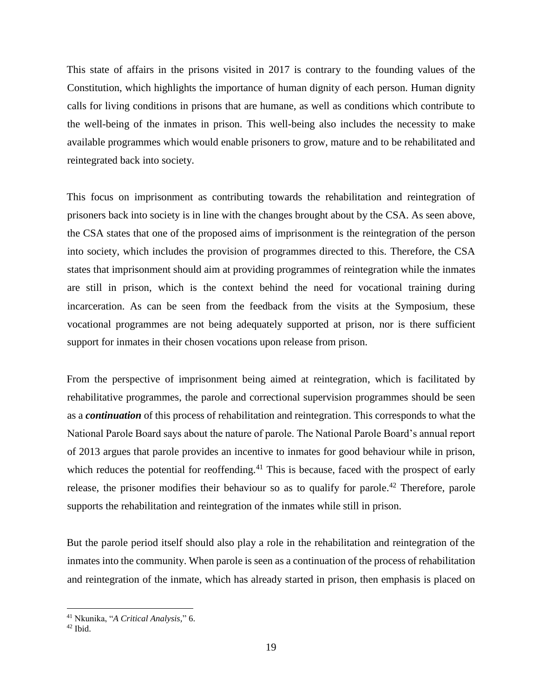This state of affairs in the prisons visited in 2017 is contrary to the founding values of the Constitution, which highlights the importance of human dignity of each person. Human dignity calls for living conditions in prisons that are humane, as well as conditions which contribute to the well-being of the inmates in prison. This well-being also includes the necessity to make available programmes which would enable prisoners to grow, mature and to be rehabilitated and reintegrated back into society.

This focus on imprisonment as contributing towards the rehabilitation and reintegration of prisoners back into society is in line with the changes brought about by the CSA. As seen above, the CSA states that one of the proposed aims of imprisonment is the reintegration of the person into society, which includes the provision of programmes directed to this. Therefore, the CSA states that imprisonment should aim at providing programmes of reintegration while the inmates are still in prison, which is the context behind the need for vocational training during incarceration. As can be seen from the feedback from the visits at the Symposium, these vocational programmes are not being adequately supported at prison, nor is there sufficient support for inmates in their chosen vocations upon release from prison.

From the perspective of imprisonment being aimed at reintegration, which is facilitated by rehabilitative programmes, the parole and correctional supervision programmes should be seen as a *continuation* of this process of rehabilitation and reintegration. This corresponds to what the National Parole Board says about the nature of parole. The National Parole Board's annual report of 2013 argues that parole provides an incentive to inmates for good behaviour while in prison, which reduces the potential for reoffending.<sup>41</sup> This is because, faced with the prospect of early release, the prisoner modifies their behaviour so as to qualify for parole.<sup>42</sup> Therefore, parole supports the rehabilitation and reintegration of the inmates while still in prison.

But the parole period itself should also play a role in the rehabilitation and reintegration of the inmates into the community. When parole is seen as a continuation of the process of rehabilitation and reintegration of the inmate, which has already started in prison, then emphasis is placed on

<sup>41</sup> Nkunika, "*A Critical Analysis,*" 6.

 $42$  Ibid.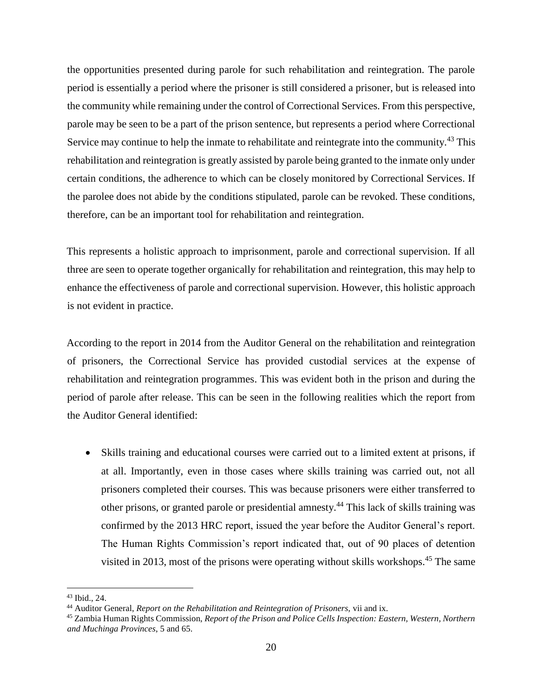the opportunities presented during parole for such rehabilitation and reintegration. The parole period is essentially a period where the prisoner is still considered a prisoner, but is released into the community while remaining under the control of Correctional Services. From this perspective, parole may be seen to be a part of the prison sentence, but represents a period where Correctional Service may continue to help the inmate to rehabilitate and reintegrate into the community.<sup>43</sup> This rehabilitation and reintegration is greatly assisted by parole being granted to the inmate only under certain conditions, the adherence to which can be closely monitored by Correctional Services. If the parolee does not abide by the conditions stipulated, parole can be revoked. These conditions, therefore, can be an important tool for rehabilitation and reintegration.

This represents a holistic approach to imprisonment, parole and correctional supervision. If all three are seen to operate together organically for rehabilitation and reintegration, this may help to enhance the effectiveness of parole and correctional supervision. However, this holistic approach is not evident in practice.

According to the report in 2014 from the Auditor General on the rehabilitation and reintegration of prisoners, the Correctional Service has provided custodial services at the expense of rehabilitation and reintegration programmes. This was evident both in the prison and during the period of parole after release. This can be seen in the following realities which the report from the Auditor General identified:

 Skills training and educational courses were carried out to a limited extent at prisons, if at all. Importantly, even in those cases where skills training was carried out, not all prisoners completed their courses. This was because prisoners were either transferred to other prisons, or granted parole or presidential amnesty.<sup>44</sup> This lack of skills training was confirmed by the 2013 HRC report, issued the year before the Auditor General's report. The Human Rights Commission's report indicated that, out of 90 places of detention visited in 2013, most of the prisons were operating without skills workshops.<sup>45</sup> The same

<sup>43</sup> Ibid., 24.

<sup>44</sup> Auditor General, *Report on the Rehabilitation and Reintegration of Prisoners,* vii and ix.

<sup>45</sup> Zambia Human Rights Commission, *Report of the Prison and Police Cells Inspection: Eastern, Western, Northern and Muchinga Provinces*, 5 and 65.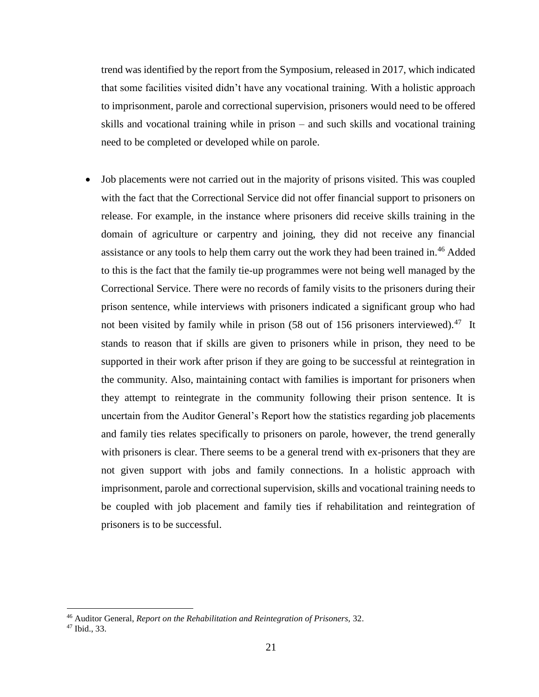trend was identified by the report from the Symposium, released in 2017, which indicated that some facilities visited didn't have any vocational training. With a holistic approach to imprisonment, parole and correctional supervision, prisoners would need to be offered skills and vocational training while in prison – and such skills and vocational training need to be completed or developed while on parole.

 Job placements were not carried out in the majority of prisons visited. This was coupled with the fact that the Correctional Service did not offer financial support to prisoners on release. For example, in the instance where prisoners did receive skills training in the domain of agriculture or carpentry and joining, they did not receive any financial assistance or any tools to help them carry out the work they had been trained in.<sup>46</sup> Added to this is the fact that the family tie-up programmes were not being well managed by the Correctional Service. There were no records of family visits to the prisoners during their prison sentence, while interviews with prisoners indicated a significant group who had not been visited by family while in prison (58 out of 156 prisoners interviewed).<sup>47</sup> It stands to reason that if skills are given to prisoners while in prison, they need to be supported in their work after prison if they are going to be successful at reintegration in the community. Also, maintaining contact with families is important for prisoners when they attempt to reintegrate in the community following their prison sentence. It is uncertain from the Auditor General's Report how the statistics regarding job placements and family ties relates specifically to prisoners on parole, however, the trend generally with prisoners is clear. There seems to be a general trend with ex-prisoners that they are not given support with jobs and family connections. In a holistic approach with imprisonment, parole and correctional supervision, skills and vocational training needs to be coupled with job placement and family ties if rehabilitation and reintegration of prisoners is to be successful.

<sup>46</sup> Auditor General, *Report on the Rehabilitation and Reintegration of Prisoners,* 32.

<sup>47</sup> Ibid., 33.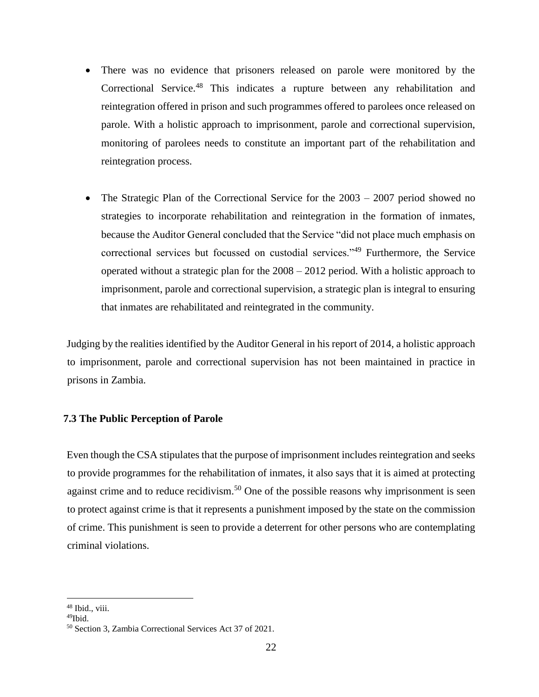- There was no evidence that prisoners released on parole were monitored by the Correctional Service.<sup>48</sup> This indicates a rupture between any rehabilitation and reintegration offered in prison and such programmes offered to parolees once released on parole. With a holistic approach to imprisonment, parole and correctional supervision, monitoring of parolees needs to constitute an important part of the rehabilitation and reintegration process.
- The Strategic Plan of the Correctional Service for the 2003 2007 period showed no strategies to incorporate rehabilitation and reintegration in the formation of inmates, because the Auditor General concluded that the Service "did not place much emphasis on correctional services but focussed on custodial services."<sup>49</sup> Furthermore, the Service operated without a strategic plan for the 2008 – 2012 period. With a holistic approach to imprisonment, parole and correctional supervision, a strategic plan is integral to ensuring that inmates are rehabilitated and reintegrated in the community.

Judging by the realities identified by the Auditor General in his report of 2014, a holistic approach to imprisonment, parole and correctional supervision has not been maintained in practice in prisons in Zambia.

### <span id="page-21-0"></span>**7.3 The Public Perception of Parole**

Even though the CSA stipulates that the purpose of imprisonment includes reintegration and seeks to provide programmes for the rehabilitation of inmates, it also says that it is aimed at protecting against crime and to reduce recidivism.<sup>50</sup> One of the possible reasons why imprisonment is seen to protect against crime is that it represents a punishment imposed by the state on the commission of crime. This punishment is seen to provide a deterrent for other persons who are contemplating criminal violations.

<sup>&</sup>lt;sup>48</sup> Ibid., viii.

 $49$ Ibid

<sup>50</sup> Section 3, Zambia Correctional Services Act 37 of 2021.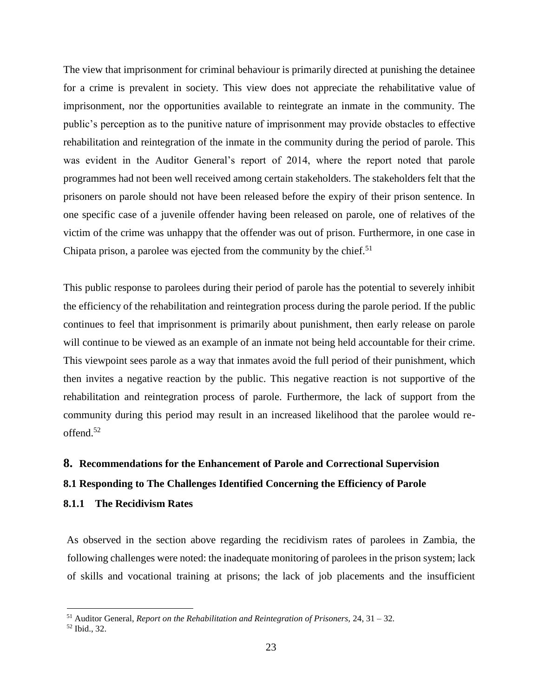The view that imprisonment for criminal behaviour is primarily directed at punishing the detainee for a crime is prevalent in society. This view does not appreciate the rehabilitative value of imprisonment, nor the opportunities available to reintegrate an inmate in the community. The public's perception as to the punitive nature of imprisonment may provide obstacles to effective rehabilitation and reintegration of the inmate in the community during the period of parole. This was evident in the Auditor General's report of 2014, where the report noted that parole programmes had not been well received among certain stakeholders. The stakeholders felt that the prisoners on parole should not have been released before the expiry of their prison sentence. In one specific case of a juvenile offender having been released on parole, one of relatives of the victim of the crime was unhappy that the offender was out of prison. Furthermore, in one case in Chipata prison, a parolee was ejected from the community by the chief.<sup>51</sup>

This public response to parolees during their period of parole has the potential to severely inhibit the efficiency of the rehabilitation and reintegration process during the parole period. If the public continues to feel that imprisonment is primarily about punishment, then early release on parole will continue to be viewed as an example of an inmate not being held accountable for their crime. This viewpoint sees parole as a way that inmates avoid the full period of their punishment, which then invites a negative reaction by the public. This negative reaction is not supportive of the rehabilitation and reintegration process of parole. Furthermore, the lack of support from the community during this period may result in an increased likelihood that the parolee would reoffend.<sup>52</sup>

### <span id="page-22-0"></span>**8. Recommendations for the Enhancement of Parole and Correctional Supervision**

### <span id="page-22-1"></span>**8.1 Responding to The Challenges Identified Concerning the Efficiency of Parole**

### <span id="page-22-2"></span>**8.1.1 The Recidivism Rates**

As observed in the section above regarding the recidivism rates of parolees in Zambia, the following challenges were noted: the inadequate monitoring of parolees in the prison system; lack of skills and vocational training at prisons; the lack of job placements and the insufficient

<sup>51</sup> Auditor General, *Report on the Rehabilitation and Reintegration of Prisoners,* 24, 31 – 32.

<sup>52</sup> Ibid., 32.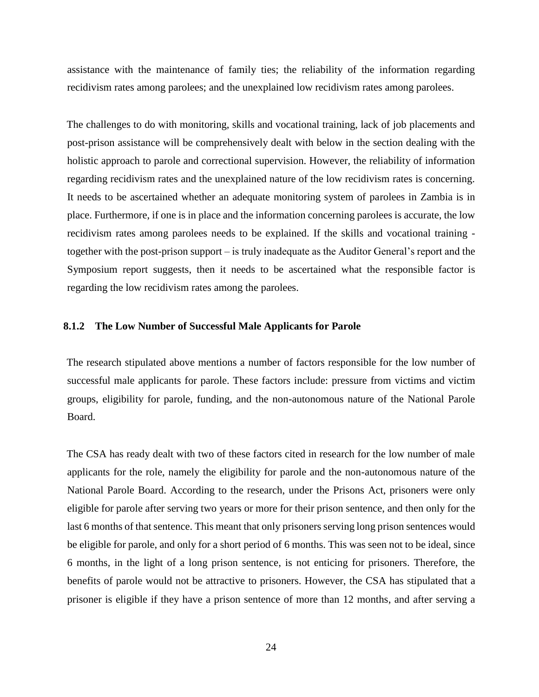assistance with the maintenance of family ties; the reliability of the information regarding recidivism rates among parolees; and the unexplained low recidivism rates among parolees.

The challenges to do with monitoring, skills and vocational training, lack of job placements and post-prison assistance will be comprehensively dealt with below in the section dealing with the holistic approach to parole and correctional supervision. However, the reliability of information regarding recidivism rates and the unexplained nature of the low recidivism rates is concerning. It needs to be ascertained whether an adequate monitoring system of parolees in Zambia is in place. Furthermore, if one is in place and the information concerning parolees is accurate, the low recidivism rates among parolees needs to be explained. If the skills and vocational training together with the post-prison support – is truly inadequate as the Auditor General's report and the Symposium report suggests, then it needs to be ascertained what the responsible factor is regarding the low recidivism rates among the parolees.

### <span id="page-23-0"></span>**8.1.2 The Low Number of Successful Male Applicants for Parole**

The research stipulated above mentions a number of factors responsible for the low number of successful male applicants for parole. These factors include: pressure from victims and victim groups, eligibility for parole, funding, and the non-autonomous nature of the National Parole Board.

The CSA has ready dealt with two of these factors cited in research for the low number of male applicants for the role, namely the eligibility for parole and the non-autonomous nature of the National Parole Board. According to the research, under the Prisons Act, prisoners were only eligible for parole after serving two years or more for their prison sentence, and then only for the last 6 months of that sentence. This meant that only prisoners serving long prison sentences would be eligible for parole, and only for a short period of 6 months. This was seen not to be ideal, since 6 months, in the light of a long prison sentence, is not enticing for prisoners. Therefore, the benefits of parole would not be attractive to prisoners. However, the CSA has stipulated that a prisoner is eligible if they have a prison sentence of more than 12 months, and after serving a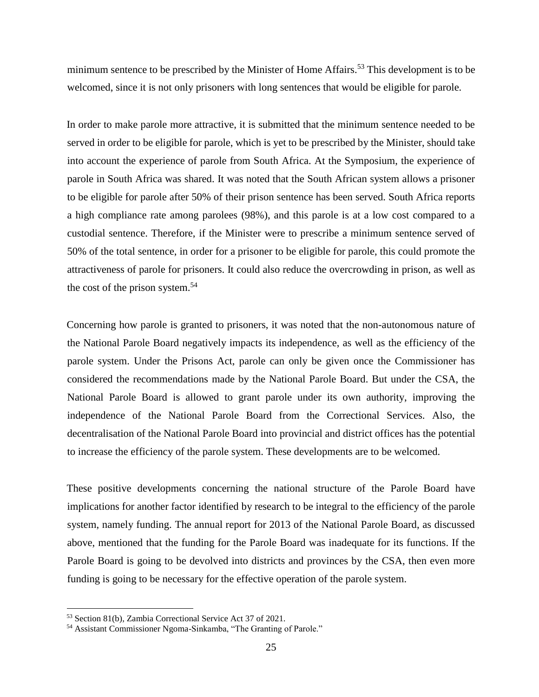minimum sentence to be prescribed by the Minister of Home Affairs.<sup>53</sup> This development is to be welcomed, since it is not only prisoners with long sentences that would be eligible for parole.

In order to make parole more attractive, it is submitted that the minimum sentence needed to be served in order to be eligible for parole, which is yet to be prescribed by the Minister, should take into account the experience of parole from South Africa. At the Symposium, the experience of parole in South Africa was shared. It was noted that the South African system allows a prisoner to be eligible for parole after 50% of their prison sentence has been served. South Africa reports a high compliance rate among parolees (98%), and this parole is at a low cost compared to a custodial sentence. Therefore, if the Minister were to prescribe a minimum sentence served of 50% of the total sentence, in order for a prisoner to be eligible for parole, this could promote the attractiveness of parole for prisoners. It could also reduce the overcrowding in prison, as well as the cost of the prison system.<sup>54</sup>

Concerning how parole is granted to prisoners, it was noted that the non-autonomous nature of the National Parole Board negatively impacts its independence, as well as the efficiency of the parole system. Under the Prisons Act, parole can only be given once the Commissioner has considered the recommendations made by the National Parole Board. But under the CSA, the National Parole Board is allowed to grant parole under its own authority, improving the independence of the National Parole Board from the Correctional Services. Also, the decentralisation of the National Parole Board into provincial and district offices has the potential to increase the efficiency of the parole system. These developments are to be welcomed.

These positive developments concerning the national structure of the Parole Board have implications for another factor identified by research to be integral to the efficiency of the parole system, namely funding. The annual report for 2013 of the National Parole Board, as discussed above, mentioned that the funding for the Parole Board was inadequate for its functions. If the Parole Board is going to be devolved into districts and provinces by the CSA, then even more funding is going to be necessary for the effective operation of the parole system.

<sup>53</sup> Section 81(b), Zambia Correctional Service Act 37 of 2021.

<sup>54</sup> Assistant Commissioner Ngoma-Sinkamba, "The Granting of Parole."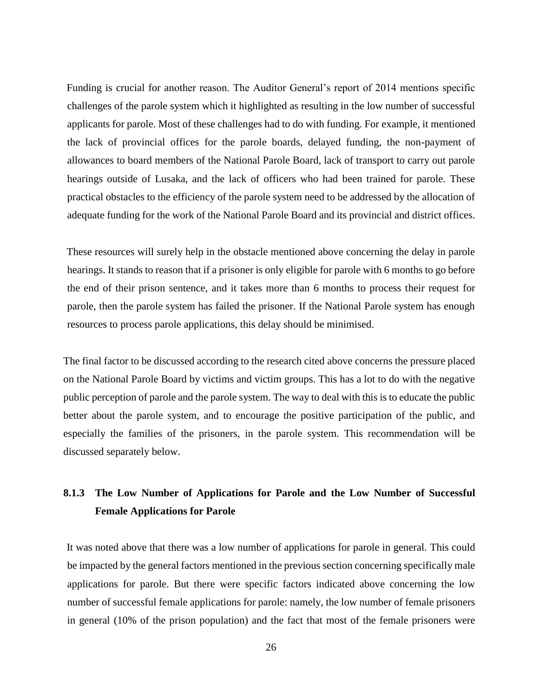Funding is crucial for another reason. The Auditor General's report of 2014 mentions specific challenges of the parole system which it highlighted as resulting in the low number of successful applicants for parole. Most of these challenges had to do with funding. For example, it mentioned the lack of provincial offices for the parole boards, delayed funding, the non-payment of allowances to board members of the National Parole Board, lack of transport to carry out parole hearings outside of Lusaka, and the lack of officers who had been trained for parole. These practical obstacles to the efficiency of the parole system need to be addressed by the allocation of adequate funding for the work of the National Parole Board and its provincial and district offices.

These resources will surely help in the obstacle mentioned above concerning the delay in parole hearings. It stands to reason that if a prisoner is only eligible for parole with 6 months to go before the end of their prison sentence, and it takes more than 6 months to process their request for parole, then the parole system has failed the prisoner. If the National Parole system has enough resources to process parole applications, this delay should be minimised.

The final factor to be discussed according to the research cited above concerns the pressure placed on the National Parole Board by victims and victim groups. This has a lot to do with the negative public perception of parole and the parole system. The way to deal with this is to educate the public better about the parole system, and to encourage the positive participation of the public, and especially the families of the prisoners, in the parole system. This recommendation will be discussed separately below.

### <span id="page-25-0"></span>**8.1.3 The Low Number of Applications for Parole and the Low Number of Successful Female Applications for Parole**

It was noted above that there was a low number of applications for parole in general. This could be impacted by the general factors mentioned in the previous section concerning specifically male applications for parole. But there were specific factors indicated above concerning the low number of successful female applications for parole: namely, the low number of female prisoners in general (10% of the prison population) and the fact that most of the female prisoners were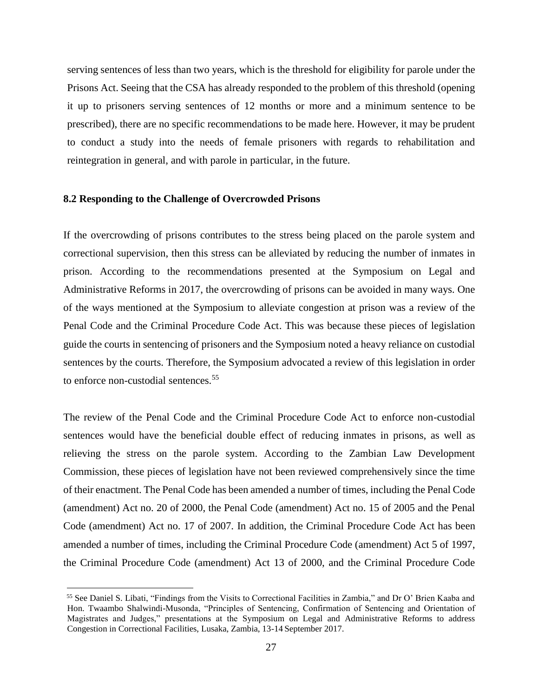serving sentences of less than two years, which is the threshold for eligibility for parole under the Prisons Act. Seeing that the CSA has already responded to the problem of this threshold (opening it up to prisoners serving sentences of 12 months or more and a minimum sentence to be prescribed), there are no specific recommendations to be made here. However, it may be prudent to conduct a study into the needs of female prisoners with regards to rehabilitation and reintegration in general, and with parole in particular, in the future.

### <span id="page-26-0"></span>**8.2 Responding to the Challenge of Overcrowded Prisons**

 $\overline{a}$ 

If the overcrowding of prisons contributes to the stress being placed on the parole system and correctional supervision, then this stress can be alleviated by reducing the number of inmates in prison. According to the recommendations presented at the Symposium on Legal and Administrative Reforms in 2017, the overcrowding of prisons can be avoided in many ways. One of the ways mentioned at the Symposium to alleviate congestion at prison was a review of the Penal Code and the Criminal Procedure Code Act. This was because these pieces of legislation guide the courts in sentencing of prisoners and the Symposium noted a heavy reliance on custodial sentences by the courts. Therefore, the Symposium advocated a review of this legislation in order to enforce non-custodial sentences.<sup>55</sup>

The review of the Penal Code and the Criminal Procedure Code Act to enforce non-custodial sentences would have the beneficial double effect of reducing inmates in prisons, as well as relieving the stress on the parole system. According to the Zambian Law Development Commission, these pieces of legislation have not been reviewed comprehensively since the time of their enactment. The Penal Code has been amended a number of times, including the Penal Code (amendment) Act no. 20 of 2000, the Penal Code (amendment) Act no. 15 of 2005 and the Penal Code (amendment) Act no. 17 of 2007. In addition, the Criminal Procedure Code Act has been amended a number of times, including the Criminal Procedure Code (amendment) Act 5 of 1997, the Criminal Procedure Code (amendment) Act 13 of 2000, and the Criminal Procedure Code

<sup>55</sup> See Daniel S. Libati, "Findings from the Visits to Correctional Facilities in Zambia," and Dr O' Brien Kaaba and Hon. Twaambo Shalwindi-Musonda, "Principles of Sentencing, Confirmation of Sentencing and Orientation of Magistrates and Judges," presentations at the Symposium on Legal and Administrative Reforms to address Congestion in Correctional Facilities, Lusaka, Zambia, 13-14 September 2017.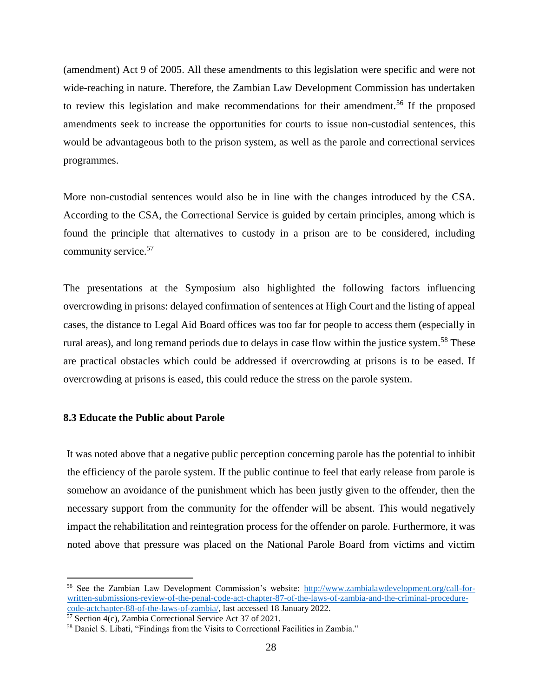(amendment) Act 9 of 2005. All these amendments to this legislation were specific and were not wide-reaching in nature. Therefore, the Zambian Law Development Commission has undertaken to review this legislation and make recommendations for their amendment.<sup>56</sup> If the proposed amendments seek to increase the opportunities for courts to issue non-custodial sentences, this would be advantageous both to the prison system, as well as the parole and correctional services programmes.

More non-custodial sentences would also be in line with the changes introduced by the CSA. According to the CSA, the Correctional Service is guided by certain principles, among which is found the principle that alternatives to custody in a prison are to be considered, including community service.<sup>57</sup>

The presentations at the Symposium also highlighted the following factors influencing overcrowding in prisons: delayed confirmation of sentences at High Court and the listing of appeal cases, the distance to Legal Aid Board offices was too far for people to access them (especially in rural areas), and long remand periods due to delays in case flow within the justice system.<sup>58</sup> These are practical obstacles which could be addressed if overcrowding at prisons is to be eased. If overcrowding at prisons is eased, this could reduce the stress on the parole system.

### <span id="page-27-0"></span>**8.3 Educate the Public about Parole**

 $\overline{a}$ 

It was noted above that a negative public perception concerning parole has the potential to inhibit the efficiency of the parole system. If the public continue to feel that early release from parole is somehow an avoidance of the punishment which has been justly given to the offender, then the necessary support from the community for the offender will be absent. This would negatively impact the rehabilitation and reintegration process for the offender on parole. Furthermore, it was noted above that pressure was placed on the National Parole Board from victims and victim

<sup>56</sup> See the Zambian Law Development Commission's website: [http://www.zambialawdevelopment.org/call-for](http://www.zambialawdevelopment.org/call-for-written-submissions-review-of-the-penal-code-act-chapter-87-of-the-laws-of-zambia-and-the-criminal-procedure-code-actchapter-88-of-the-laws-of-zambia/)[written-submissions-review-of-the-penal-code-act-chapter-87-of-the-laws-of-zambia-and-the-criminal-procedure](http://www.zambialawdevelopment.org/call-for-written-submissions-review-of-the-penal-code-act-chapter-87-of-the-laws-of-zambia-and-the-criminal-procedure-code-actchapter-88-of-the-laws-of-zambia/)[code-actchapter-88-of-the-laws-of-zambia/,](http://www.zambialawdevelopment.org/call-for-written-submissions-review-of-the-penal-code-act-chapter-87-of-the-laws-of-zambia-and-the-criminal-procedure-code-actchapter-88-of-the-laws-of-zambia/) last accessed 18 January 2022.

<sup>&</sup>lt;sup>57</sup> Section 4(c), Zambia Correctional Service Act 37 of 2021.

<sup>58</sup> Daniel S. Libati, "Findings from the Visits to Correctional Facilities in Zambia."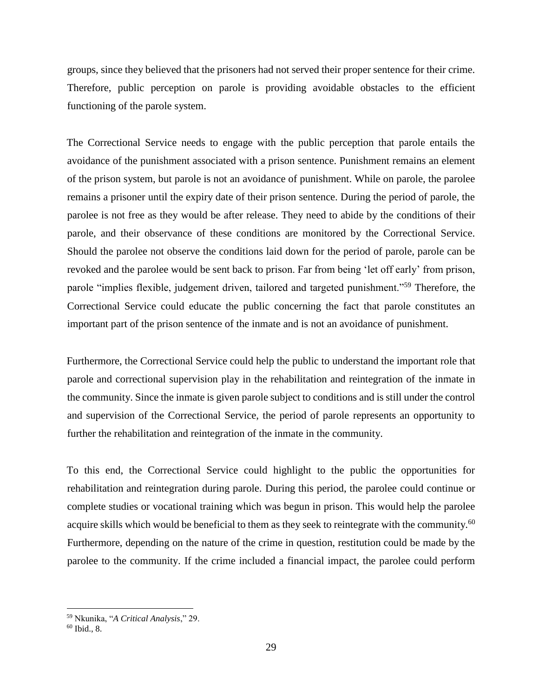groups, since they believed that the prisoners had not served their proper sentence for their crime. Therefore, public perception on parole is providing avoidable obstacles to the efficient functioning of the parole system.

The Correctional Service needs to engage with the public perception that parole entails the avoidance of the punishment associated with a prison sentence. Punishment remains an element of the prison system, but parole is not an avoidance of punishment. While on parole, the parolee remains a prisoner until the expiry date of their prison sentence. During the period of parole, the parolee is not free as they would be after release. They need to abide by the conditions of their parole, and their observance of these conditions are monitored by the Correctional Service. Should the parolee not observe the conditions laid down for the period of parole, parole can be revoked and the parolee would be sent back to prison. Far from being 'let off early' from prison, parole "implies flexible, judgement driven, tailored and targeted punishment."<sup>59</sup> Therefore, the Correctional Service could educate the public concerning the fact that parole constitutes an important part of the prison sentence of the inmate and is not an avoidance of punishment.

Furthermore, the Correctional Service could help the public to understand the important role that parole and correctional supervision play in the rehabilitation and reintegration of the inmate in the community. Since the inmate is given parole subject to conditions and is still under the control and supervision of the Correctional Service, the period of parole represents an opportunity to further the rehabilitation and reintegration of the inmate in the community.

To this end, the Correctional Service could highlight to the public the opportunities for rehabilitation and reintegration during parole. During this period, the parolee could continue or complete studies or vocational training which was begun in prison. This would help the parolee acquire skills which would be beneficial to them as they seek to reintegrate with the community.<sup>60</sup> Furthermore, depending on the nature of the crime in question, restitution could be made by the parolee to the community. If the crime included a financial impact, the parolee could perform

<sup>59</sup> Nkunika, "*A Critical Analysis*," 29.

<sup>60</sup> Ibid., 8.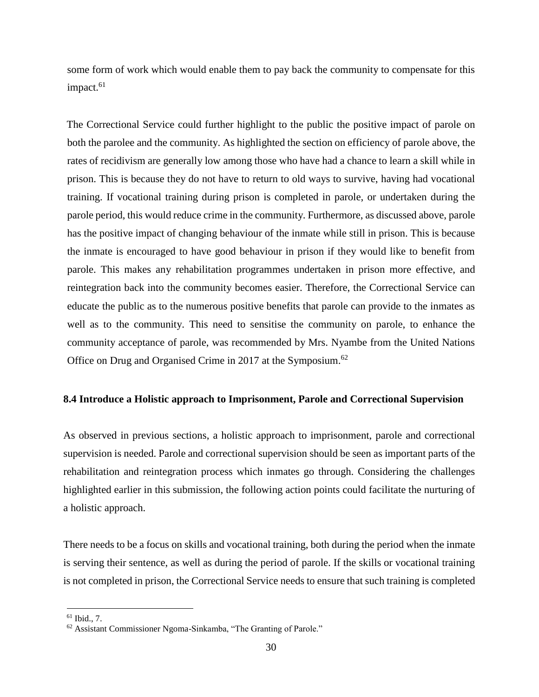some form of work which would enable them to pay back the community to compensate for this impact.<sup>61</sup>

The Correctional Service could further highlight to the public the positive impact of parole on both the parolee and the community. As highlighted the section on efficiency of parole above, the rates of recidivism are generally low among those who have had a chance to learn a skill while in prison. This is because they do not have to return to old ways to survive, having had vocational training. If vocational training during prison is completed in parole, or undertaken during the parole period, this would reduce crime in the community. Furthermore, as discussed above, parole has the positive impact of changing behaviour of the inmate while still in prison. This is because the inmate is encouraged to have good behaviour in prison if they would like to benefit from parole. This makes any rehabilitation programmes undertaken in prison more effective, and reintegration back into the community becomes easier. Therefore, the Correctional Service can educate the public as to the numerous positive benefits that parole can provide to the inmates as well as to the community. This need to sensitise the community on parole, to enhance the community acceptance of parole, was recommended by Mrs. Nyambe from the United Nations Office on Drug and Organised Crime in 2017 at the Symposium.<sup>62</sup>

### <span id="page-29-0"></span>**8.4 Introduce a Holistic approach to Imprisonment, Parole and Correctional Supervision**

As observed in previous sections, a holistic approach to imprisonment, parole and correctional supervision is needed. Parole and correctional supervision should be seen as important parts of the rehabilitation and reintegration process which inmates go through. Considering the challenges highlighted earlier in this submission, the following action points could facilitate the nurturing of a holistic approach.

There needs to be a focus on skills and vocational training, both during the period when the inmate is serving their sentence, as well as during the period of parole. If the skills or vocational training is not completed in prison, the Correctional Service needs to ensure that such training is completed

<sup>61</sup> Ibid., 7.

<sup>62</sup> Assistant Commissioner Ngoma-Sinkamba, "The Granting of Parole."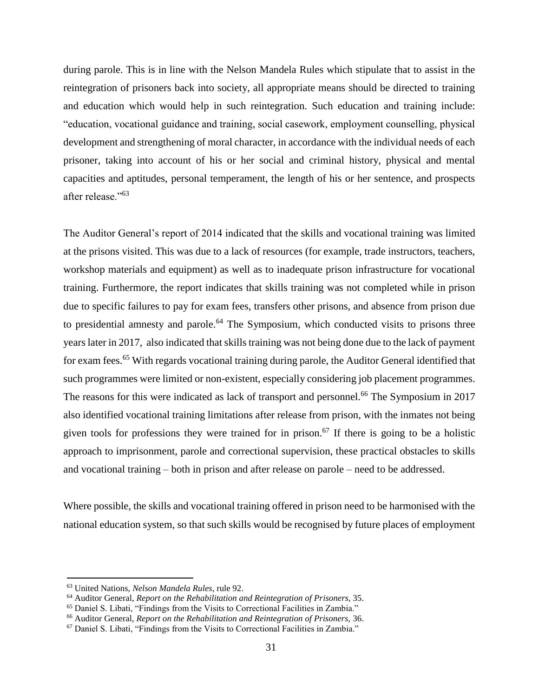during parole. This is in line with the Nelson Mandela Rules which stipulate that to assist in the reintegration of prisoners back into society, all appropriate means should be directed to training and education which would help in such reintegration. Such education and training include: "education, vocational guidance and training, social casework, employment counselling, physical development and strengthening of moral character, in accordance with the individual needs of each prisoner, taking into account of his or her social and criminal history, physical and mental capacities and aptitudes, personal temperament, the length of his or her sentence, and prospects after release."<sup>63</sup>

The Auditor General's report of 2014 indicated that the skills and vocational training was limited at the prisons visited. This was due to a lack of resources (for example, trade instructors, teachers, workshop materials and equipment) as well as to inadequate prison infrastructure for vocational training. Furthermore, the report indicates that skills training was not completed while in prison due to specific failures to pay for exam fees, transfers other prisons, and absence from prison due to presidential amnesty and parole.<sup>64</sup> The Symposium, which conducted visits to prisons three years later in 2017, also indicated that skills training was not being done due to the lack of payment for exam fees.<sup>65</sup> With regards vocational training during parole, the Auditor General identified that such programmes were limited or non-existent, especially considering job placement programmes. The reasons for this were indicated as lack of transport and personnel.<sup>66</sup> The Symposium in 2017 also identified vocational training limitations after release from prison, with the inmates not being given tools for professions they were trained for in prison.<sup>67</sup> If there is going to be a holistic approach to imprisonment, parole and correctional supervision, these practical obstacles to skills and vocational training – both in prison and after release on parole – need to be addressed.

Where possible, the skills and vocational training offered in prison need to be harmonised with the national education system, so that such skills would be recognised by future places of employment

<sup>63</sup> United Nations, *Nelson Mandela Rules*, rule 92.

<sup>64</sup> Auditor General, *Report on the Rehabilitation and Reintegration of Prisoners,* 35.

<sup>65</sup> Daniel S. Libati, "Findings from the Visits to Correctional Facilities in Zambia."

<sup>66</sup> Auditor General, *Report on the Rehabilitation and Reintegration of Prisoners,* 36.

<sup>67</sup> Daniel S. Libati, "Findings from the Visits to Correctional Facilities in Zambia."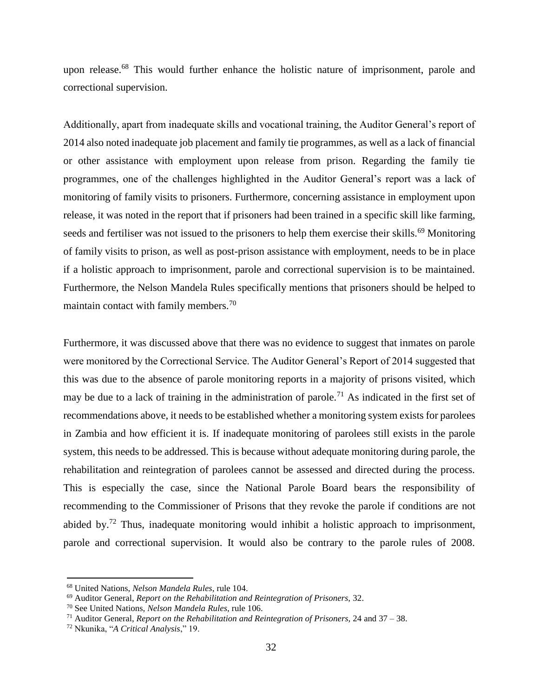upon release.<sup>68</sup> This would further enhance the holistic nature of imprisonment, parole and correctional supervision.

Additionally, apart from inadequate skills and vocational training, the Auditor General's report of 2014 also noted inadequate job placement and family tie programmes, as well as a lack of financial or other assistance with employment upon release from prison. Regarding the family tie programmes, one of the challenges highlighted in the Auditor General's report was a lack of monitoring of family visits to prisoners. Furthermore, concerning assistance in employment upon release, it was noted in the report that if prisoners had been trained in a specific skill like farming, seeds and fertiliser was not issued to the prisoners to help them exercise their skills.<sup>69</sup> Monitoring of family visits to prison, as well as post-prison assistance with employment, needs to be in place if a holistic approach to imprisonment, parole and correctional supervision is to be maintained. Furthermore, the Nelson Mandela Rules specifically mentions that prisoners should be helped to maintain contact with family members.<sup>70</sup>

Furthermore, it was discussed above that there was no evidence to suggest that inmates on parole were monitored by the Correctional Service. The Auditor General's Report of 2014 suggested that this was due to the absence of parole monitoring reports in a majority of prisons visited, which may be due to a lack of training in the administration of parole.<sup>71</sup> As indicated in the first set of recommendations above, it needs to be established whether a monitoring system exists for parolees in Zambia and how efficient it is. If inadequate monitoring of parolees still exists in the parole system, this needs to be addressed. This is because without adequate monitoring during parole, the rehabilitation and reintegration of parolees cannot be assessed and directed during the process. This is especially the case, since the National Parole Board bears the responsibility of recommending to the Commissioner of Prisons that they revoke the parole if conditions are not abided by.<sup>72</sup> Thus, inadequate monitoring would inhibit a holistic approach to imprisonment, parole and correctional supervision. It would also be contrary to the parole rules of 2008.

<sup>68</sup> United Nations, *Nelson Mandela Rules*, rule 104.

<sup>69</sup> Auditor General, *Report on the Rehabilitation and Reintegration of Prisoners,* 32.

<sup>70</sup> See United Nations, *Nelson Mandela Rules*, rule 106.

<sup>71</sup> Auditor General, *Report on the Rehabilitation and Reintegration of Prisoners,* 24 and 37 – 38.

<sup>72</sup> Nkunika, "*A Critical Analysis*," 19.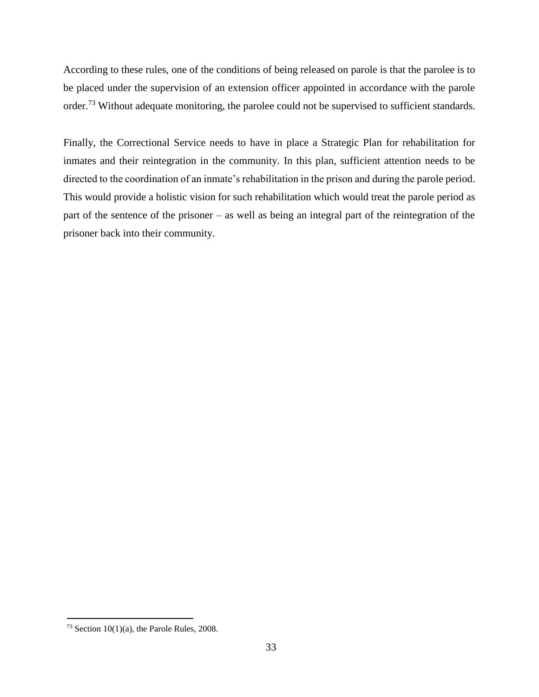According to these rules, one of the conditions of being released on parole is that the parolee is to be placed under the supervision of an extension officer appointed in accordance with the parole order.<sup>73</sup> Without adequate monitoring, the parolee could not be supervised to sufficient standards.

Finally, the Correctional Service needs to have in place a Strategic Plan for rehabilitation for inmates and their reintegration in the community. In this plan, sufficient attention needs to be directed to the coordination of an inmate's rehabilitation in the prison and during the parole period. This would provide a holistic vision for such rehabilitation which would treat the parole period as part of the sentence of the prisoner – as well as being an integral part of the reintegration of the prisoner back into their community.

 $73$  Section 10(1)(a), the Parole Rules, 2008.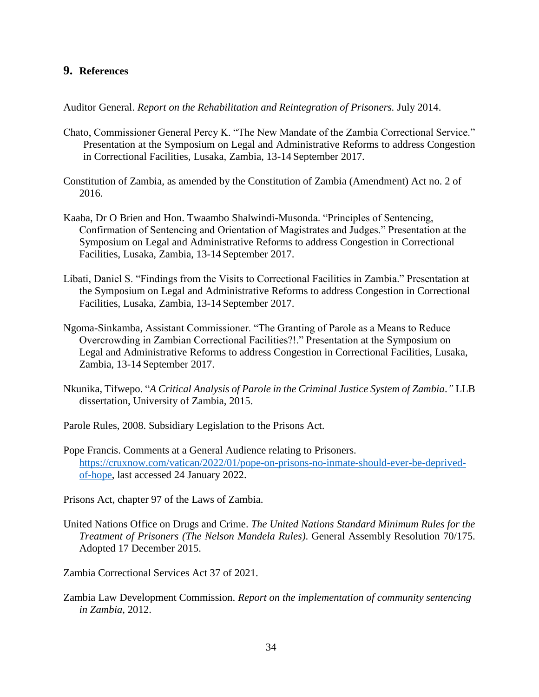### <span id="page-33-0"></span>**9. References**

Auditor General. *Report on the Rehabilitation and Reintegration of Prisoners.* July 2014.

- Chato, Commissioner General Percy K. "The New Mandate of the Zambia Correctional Service." Presentation at the Symposium on Legal and Administrative Reforms to address Congestion in Correctional Facilities, Lusaka, Zambia, 13-14 September 2017.
- Constitution of Zambia, as amended by the Constitution of Zambia (Amendment) Act no. 2 of 2016.
- Kaaba, Dr O Brien and Hon. Twaambo Shalwindi-Musonda. "Principles of Sentencing, Confirmation of Sentencing and Orientation of Magistrates and Judges." Presentation at the Symposium on Legal and Administrative Reforms to address Congestion in Correctional Facilities, Lusaka, Zambia, 13-14 September 2017.
- Libati, Daniel S. "Findings from the Visits to Correctional Facilities in Zambia." Presentation at the Symposium on Legal and Administrative Reforms to address Congestion in Correctional Facilities, Lusaka, Zambia, 13-14 September 2017.
- Ngoma-Sinkamba, Assistant Commissioner. "The Granting of Parole as a Means to Reduce Overcrowding in Zambian Correctional Facilities?!." Presentation at the Symposium on Legal and Administrative Reforms to address Congestion in Correctional Facilities, Lusaka, Zambia, 13-14 September 2017.
- Nkunika, Tifwepo. "*A Critical Analysis of Parole in the Criminal Justice System of Zambia*.*"* LLB dissertation, University of Zambia, 2015.
- Parole Rules, 2008. Subsidiary Legislation to the Prisons Act.
- Pope Francis. Comments at a General Audience relating to Prisoners. [https://cruxnow.com/vatican/2022/01/pope-on-prisons-no-inmate-should-ever-be-deprived](https://cruxnow.com/vatican/2022/01/pope-on-prisons-no-inmate-should-ever-be-deprived-of-hope)[of-hope,](https://cruxnow.com/vatican/2022/01/pope-on-prisons-no-inmate-should-ever-be-deprived-of-hope) last accessed 24 January 2022.

Prisons Act, chapter 97 of the Laws of Zambia.

- United Nations Office on Drugs and Crime. *The United Nations Standard Minimum Rules for the Treatment of Prisoners (The Nelson Mandela Rules)*. General Assembly Resolution 70/175. Adopted 17 December 2015.
- Zambia Correctional Services Act 37 of 2021.
- Zambia Law Development Commission. *Report on the implementation of community sentencing in Zambia,* 2012.